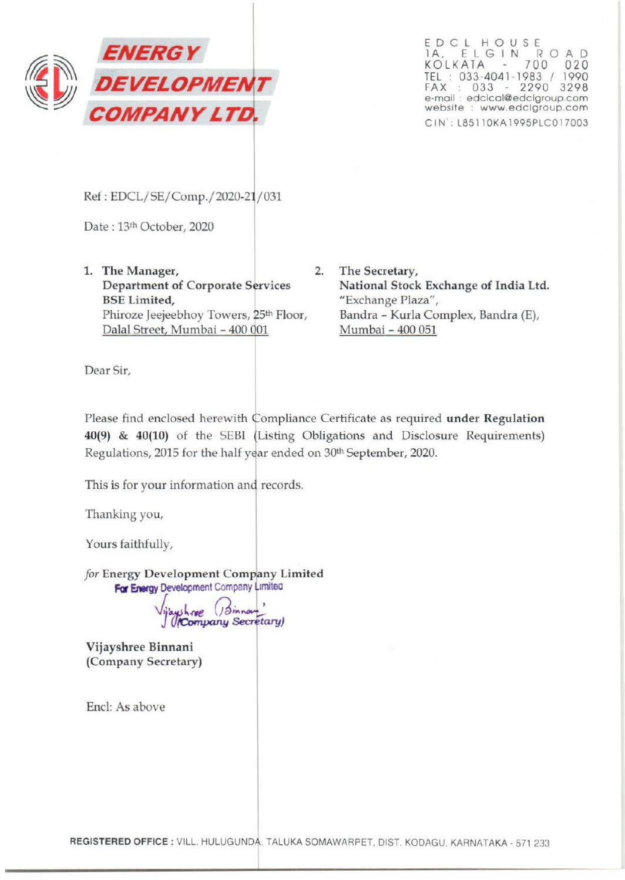

ED <sup>C</sup> L HOUS <sup>E</sup> 1A, ELGIN ROAD KOLKATA 700 020 TEL : 033-4041-1983 / 1990 FAX : 033 - 2290 3298 e-mail : edclcal@edclgroup.com website : www.edclgroup.com CIN': L85110KA1995PLC017003

Ref : EDCL/SE/Comp./2020-21/031

Date: 13th October, 2020

- 1. The Manager, 2. Department of Corporate Services BSE Limited, Phiroze Jeejeebhoy Towers, 25<sup>th</sup> Floor, Dalal Street, Mumbai - 400 001
	- The Secretary, National Stock Exchange of India Ltd. "Exchange Plaza", Bandra - Kurla Complex, Bandra (E), Mumbai - 400 051

Dear Sir,

Please find enclosed herewith Compliance Certificate as required under Regulation 40(9) & 40(10) of the SEBI Listing Obligations and Disclosure Requirements) Regulations, 2015 for the half year ended on 30<sup>th</sup> September, 2020.

This is for your information and records.

Thanking you,

Yours faithfully,

*for* Energy Development Company Limited For Energy Development Company Limited

ayshnee (Sinnau)<br>(**Company Secretary**)

Vijayshree Binnani (Company Secretary)

End: As above

REGISTERED OFFICE : VILL. HULUGUNDA, TALUKA SOMAWARPET, DIST. KODAGU, KARNATAKA - 571 233